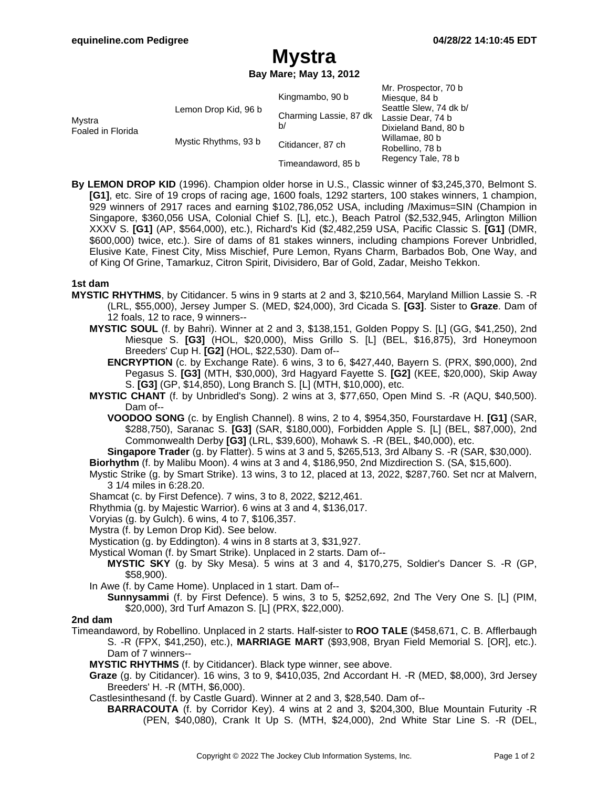Mr. Prospector, 70 b

# **Mystra**

**Bay Mare; May 13, 2012**

| Mystra<br>Foaled in Florida | Lemon Drop Kid, 96 b | Kingmambo, 90 b              | IVII. FIUSPECIUI, TU D<br>Miesque, 84 b                                         |
|-----------------------------|----------------------|------------------------------|---------------------------------------------------------------------------------|
|                             |                      | Charming Lassie, 87 dk<br>b/ | Seattle Slew, 74 dk b/                                                          |
|                             |                      |                              | Lassie Dear, 74 b                                                               |
|                             |                      |                              | Dixieland Band, 80 b<br>Willamae, 80 b<br>Robellino, 78 b<br>Regency Tale, 78 b |
|                             | Mystic Rhythms, 93 b | Citidancer, 87 ch            |                                                                                 |
|                             |                      | Timeandaword, 85 b           |                                                                                 |

**By LEMON DROP KID** (1996). Champion older horse in U.S., Classic winner of \$3,245,370, Belmont S. **[G1]**, etc. Sire of 19 crops of racing age, 1600 foals, 1292 starters, 100 stakes winners, 1 champion, 929 winners of 2917 races and earning \$102,786,052 USA, including /Maximus=SIN (Champion in Singapore, \$360,056 USA, Colonial Chief S. [L], etc.), Beach Patrol (\$2,532,945, Arlington Million XXXV S. **[G1]** (AP, \$564,000), etc.), Richard's Kid (\$2,482,259 USA, Pacific Classic S. **[G1]** (DMR, \$600,000) twice, etc.). Sire of dams of 81 stakes winners, including champions Forever Unbridled, Elusive Kate, Finest City, Miss Mischief, Pure Lemon, Ryans Charm, Barbados Bob, One Way, and of King Of Grine, Tamarkuz, Citron Spirit, Divisidero, Bar of Gold, Zadar, Meisho Tekkon.

## **1st dam**

- **MYSTIC RHYTHMS**, by Citidancer. 5 wins in 9 starts at 2 and 3, \$210,564, Maryland Million Lassie S. -R (LRL, \$55,000), Jersey Jumper S. (MED, \$24,000), 3rd Cicada S. **[G3]**. Sister to **Graze**. Dam of 12 foals, 12 to race, 9 winners--
	- **MYSTIC SOUL** (f. by Bahri). Winner at 2 and 3, \$138,151, Golden Poppy S. [L] (GG, \$41,250), 2nd Miesque S. **[G3]** (HOL, \$20,000), Miss Grillo S. [L] (BEL, \$16,875), 3rd Honeymoon Breeders' Cup H. **[G2]** (HOL, \$22,530). Dam of--
		- **ENCRYPTION** (c. by Exchange Rate). 6 wins, 3 to 6, \$427,440, Bayern S. (PRX, \$90,000), 2nd Pegasus S. **[G3]** (MTH, \$30,000), 3rd Hagyard Fayette S. **[G2]** (KEE, \$20,000), Skip Away S. **[G3]** (GP, \$14,850), Long Branch S. [L] (MTH, \$10,000), etc.
	- **MYSTIC CHANT** (f. by Unbridled's Song). 2 wins at 3, \$77,650, Open Mind S. -R (AQU, \$40,500). Dam of--
		- **VOODOO SONG** (c. by English Channel). 8 wins, 2 to 4, \$954,350, Fourstardave H. **[G1]** (SAR, \$288,750), Saranac S. **[G3]** (SAR, \$180,000), Forbidden Apple S. [L] (BEL, \$87,000), 2nd Commonwealth Derby **[G3]** (LRL, \$39,600), Mohawk S. -R (BEL, \$40,000), etc.

**Singapore Trader** (g. by Flatter). 5 wins at 3 and 5, \$265,513, 3rd Albany S. -R (SAR, \$30,000).

**Biorhythm** (f. by Malibu Moon). 4 wins at 3 and 4, \$186,950, 2nd Mizdirection S. (SA, \$15,600).

- Mystic Strike (g. by Smart Strike). 13 wins, 3 to 12, placed at 13, 2022, \$287,760. Set ncr at Malvern, 3 1/4 miles in 6:28.20.
- Shamcat (c. by First Defence). 7 wins, 3 to 8, 2022, \$212,461.
- Rhythmia (g. by Majestic Warrior). 6 wins at 3 and 4, \$136,017.
- Voryias (g. by Gulch). 6 wins, 4 to 7, \$106,357.
- Mystra (f. by Lemon Drop Kid). See below.
- Mystication (g. by Eddington). 4 wins in 8 starts at 3, \$31,927.
- Mystical Woman (f. by Smart Strike). Unplaced in 2 starts. Dam of--
	- **MYSTIC SKY** (g. by Sky Mesa). 5 wins at 3 and 4, \$170,275, Soldier's Dancer S. -R (GP, \$58,900).
- In Awe (f. by Came Home). Unplaced in 1 start. Dam of--
	- **Sunnysammi** (f. by First Defence). 5 wins, 3 to 5, \$252,692, 2nd The Very One S. [L] (PIM, \$20,000), 3rd Turf Amazon S. [L] (PRX, \$22,000).

## **2nd dam**

- Timeandaword, by Robellino. Unplaced in 2 starts. Half-sister to **ROO TALE** (\$458,671, C. B. Afflerbaugh S. -R (FPX, \$41,250), etc.), **MARRIAGE MART** (\$93,908, Bryan Field Memorial S. [OR], etc.). Dam of 7 winners--
	- **MYSTIC RHYTHMS** (f. by Citidancer). Black type winner, see above.
	- **Graze** (g. by Citidancer). 16 wins, 3 to 9, \$410,035, 2nd Accordant H. -R (MED, \$8,000), 3rd Jersey Breeders' H. -R (MTH, \$6,000).
	- Castlesinthesand (f. by Castle Guard). Winner at 2 and 3, \$28,540. Dam of--
		- **BARRACOUTA** (f. by Corridor Key). 4 wins at 2 and 3, \$204,300, Blue Mountain Futurity -R (PEN, \$40,080), Crank It Up S. (MTH, \$24,000), 2nd White Star Line S. -R (DEL,